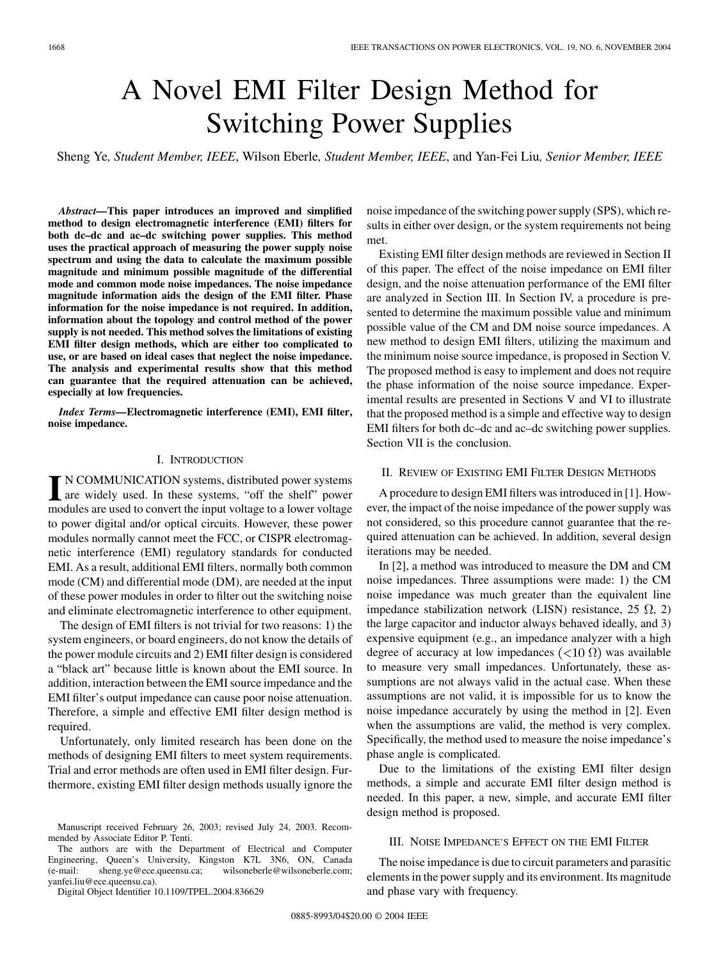# A Novel EMI Filter Design Method for Switching Power Supplies

Sheng Ye*, Student Member, IEEE*, Wilson Eberle*, Student Member, IEEE*, and Yan-Fei Liu*, Senior Member, IEEE*

*Abstract—***This paper introduces an improved and simplified method to design electromagnetic interference (EMI) filters for both dc–dc and ac–dc switching power supplies. This method uses the practical approach of measuring the power supply noise spectrum and using the data to calculate the maximum possible magnitude and minimum possible magnitude of the differential mode and common mode noise impedances. The noise impedance magnitude information aids the design of the EMI filter. Phase information for the noise impedance is not required. In addition, information about the topology and control method of the power supply is not needed. This method solves the limitations of existing EMI filter design methods, which are either too complicated to use, or are based on ideal cases that neglect the noise impedance. The analysis and experimental results show that this method can guarantee that the required attenuation can be achieved, especially at low frequencies.**

*Index Terms—***Electromagnetic interference (EMI), EMI filter, noise impedance.**

#### I. INTRODUCTION

**I** N COMMUNICATION systems, distributed power systems are widely used. In these systems, "off the shelf" power modules are used to convert the input voltage to a lower voltage to power digital and/or optical circuits. However, these power modules normally cannot meet the FCC, or CISPR electromagnetic interference (EMI) regulatory standards for conducted EMI. As a result, additional EMI filters, normally both common mode (CM) and differential mode (DM), are needed at the input of these power modules in order to filter out the switching noise and eliminate electromagnetic interference to other equipment.

The design of EMI filters is not trivial for two reasons: 1) the system engineers, or board engineers, do not know the details of the power module circuits and 2) EMI filter design is considered a "black art" because little is known about the EMI source. In addition, interaction between the EMI source impedance and the EMI filter's output impedance can cause poor noise attenuation. Therefore, a simple and effective EMI filter design method is required.

Unfortunately, only limited research has been done on the methods of designing EMI filters to meet system requirements. Trial and error methods are often used in EMI filter design. Furthermore, existing EMI filter design methods usually ignore the

Digital Object Identifier 10.1109/TPEL.2004.836629

noise impedance of the switching power supply (SPS), which results in either over design, or the system requirements not being met.

Existing EMI filter design methods are reviewed in Section II of this paper. The effect of the noise impedance on EMI filter design, and the noise attenuation performance of the EMI filter are analyzed in Section III. In Section IV, a procedure is presented to determine the maximum possible value and minimum possible value of the CM and DM noise source impedances. A new method to design EMI filters, utilizing the maximum and the minimum noise source impedance, is proposed in Section V. The proposed method is easy to implement and does not require the phase information of the noise source impedance. Experimental results are presented in Sections V and VI to illustrate that the proposed method is a simple and effective way to design EMI filters for both dc–dc and ac–dc switching power supplies. Section VII is the conclusion.

# II. REVIEW OF EXISTING EMI FILTER DESIGN METHODS

A procedure to design EMI filters was introduced in [[1\]](#page-10-0). However, the impact of the noise impedance of the power supply was not considered, so this procedure cannot guarantee that the required attenuation can be achieved. In addition, several design iterations may be needed.

In [[2\]](#page-10-0), a method was introduced to measure the DM and CM noise impedances. Three assumptions were made: 1) the CM noise impedance was much greater than the equivalent line impedance stabilization network (LISN) resistance, 25  $\Omega$ , 2) the large capacitor and inductor always behaved ideally, and 3) expensive equipment (e.g., an impedance analyzer with a high degree of accuracy at low impedances  $(<10 \Omega$ ) was available to measure very small impedances. Unfortunately, these assumptions are not always valid in the actual case. When these assumptions are not valid, it is impossible for us to know the noise impedance accurately by using the method in [\[2](#page-10-0)]. Even when the assumptions are valid, the method is very complex. Specifically, the method used to measure the noise impedance's phase angle is complicated.

Due to the limitations of the existing EMI filter design methods, a simple and accurate EMI filter design method is needed. In this paper, a new, simple, and accurate EMI filter design method is proposed.

## III. NOISE IMPEDANCE'S EFFECT ON THE EMI FILTER

The noise impedance is due to circuit parameters and parasitic elements in the power supply and its environment. Its magnitude and phase vary with frequency.

Manuscript received February 26, 2003; revised July 24, 2003. Recommended by Associate Editor P. Tenti.

The authors are with the Department of Electrical and Computer Engineering, Queen's University, Kingston K7L 3N6, ON, Canada (e-mail: sheng.ye@ece.queensu.ca; wilsoneberle@wilsoneberle.com; yanfei.liu@ece.queensu.ca).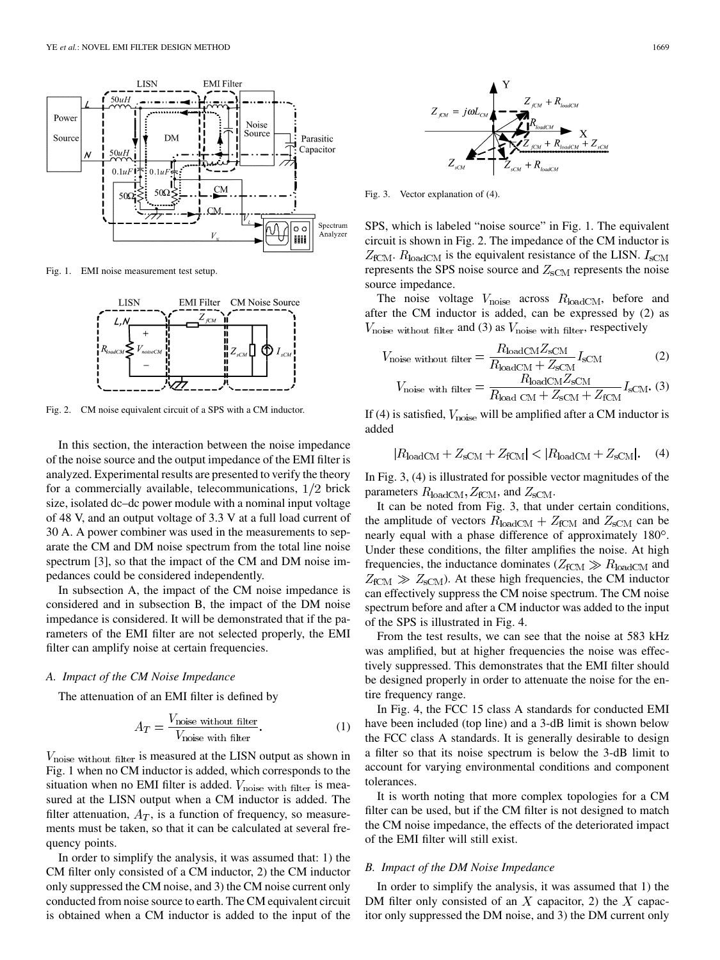

Fig. 1. EMI noise measurement test setup.



Fig. 2. CM noise equivalent circuit of a SPS with a CM inductor.

In this section, the interaction between the noise impedance of the noise source and the output impedance of the EMI filter is analyzed. Experimental results are presented to verify the theory for a commercially available, telecommunications,  $1/2$  brick size, isolated dc–dc power module with a nominal input voltage of 48 V, and an output voltage of 3.3 V at a full load current of 30 A. A power combiner was used in the measurements to separate the CM and DM noise spectrum from the total line noise spectrum [[3\]](#page-10-0), so that the impact of the CM and DM noise impedances could be considered independently.

In subsection A, the impact of the CM noise impedance is considered and in subsection B, the impact of the DM noise impedance is considered. It will be demonstrated that if the parameters of the EMI filter are not selected properly, the EMI filter can amplify noise at certain frequencies.

#### *A. Impact of the CM Noise Impedance*

The attenuation of an EMI filter is defined by

$$
A_T = \frac{V_{\text{noise without filter}}}{V_{\text{noise with filter}}}. \tag{1}
$$

 $V_{\text{noise without filter}}$  is measured at the LISN output as shown in Fig. 1 when no CM inductor is added, which corresponds to the situation when no EMI filter is added.  $V_{\text{noise with filter}}$  is measured at the LISN output when a CM inductor is added. The filter attenuation,  $A_T$ , is a function of frequency, so measurements must be taken, so that it can be calculated at several frequency points.

In order to simplify the analysis, it was assumed that: 1) the CM filter only consisted of a CM inductor, 2) the CM inductor only suppressed the CM noise, and 3) the CM noise current only conducted from noise source to earth. The CM equivalent circuit is obtained when a CM inductor is added to the input of the



Fig. 3. Vector explanation of (4).

SPS, which is labeled "noise source" in Fig. 1. The equivalent circuit is shown in Fig. 2. The impedance of the CM inductor is  $Z_{\text{fCM}}$ .  $R_{\text{loadCM}}$  is the equivalent resistance of the LISN.  $I_{\text{sCM}}$ represents the SPS noise source and  $Z_{\text{sCM}}$  represents the noise source impedance.

The noise voltage  $V_{\text{noise}}$  across  $R_{\text{loadCM}}$ , before and after the CM inductor is added, can be expressed by (2) as  $V_{\text{noise without filter}}$  and (3) as  $V_{\text{noise with filter}}$ , respectively

$$
V_{\text{noise without filter}} = \frac{R_{\text{loadCM}} Z_{\text{SCM}}}{R_{\text{loadCM}} + Z_{\text{SCM}}} I_{\text{sCM}} \tag{2}
$$
  

$$
V_{\text{max}} = \frac{R_{\text{loadCM}} Z_{\text{sCM}}}{R_{\text{loadCM}} Z_{\text{sCM}}} I_{\text{max}} \tag{3}
$$

$$
V_{\text{noise with filter}} = \frac{P_{\text{total}}}{R_{\text{load CM}} + Z_{\text{SCM}} + Z_{\text{fCM}}} I_{\text{sCM}}.
$$
 (3)

If (4) is satisfied,  $V_{\text{noise}}$  will be amplified after a CM inductor is added

$$
|R_{\text{loadCM}} + Z_{\text{SCM}} + Z_{\text{fCM}}| < |R_{\text{loadCM}} + Z_{\text{SCM}}|.\tag{4}
$$

In Fig. 3, (4) is illustrated for possible vector magnitudes of the parameters  $R_{\text{loadCM}}$ ,  $Z_{\text{fCM}}$ , and  $Z_{\text{sCM}}$ .

It can be noted from Fig. 3, that under certain conditions, the amplitude of vectors  $R_{\text{loadCM}} + Z_{\text{fCM}}$  and  $Z_{\text{sCM}}$  can be nearly equal with a phase difference of approximately 180°. Under these conditions, the filter amplifies the noise. At high frequencies, the inductance dominates ( $Z_{\text{fCM}} \gg R_{\text{loadCM}}$  and  $Z_{\text{fCM}} \gg Z_{\text{sCM}}$ ). At these high frequencies, the CM inductor can effectively suppress the CM noise spectrum. The CM noise spectrum before and after a CM inductor was added to the input of the SPS is illustrated in Fig. 4.

From the test results, we can see that the noise at 583 kHz was amplified, but at higher frequencies the noise was effectively suppressed. This demonstrates that the EMI filter should be designed properly in order to attenuate the noise for the entire frequency range.

In Fig. 4, the FCC 15 class A standards for conducted EMI have been included (top line) and a 3-dB limit is shown below the FCC class A standards. It is generally desirable to design a filter so that its noise spectrum is below the 3-dB limit to account for varying environmental conditions and component tolerances.

It is worth noting that more complex topologies for a CM filter can be used, but if the CM filter is not designed to match the CM noise impedance, the effects of the deteriorated impact of the EMI filter will still exist.

### *B. Impact of the DM Noise Impedance*

In order to simplify the analysis, it was assumed that 1) the DM filter only consisted of an X capacitor, 2) the X capacitor only suppressed the DM noise, and 3) the DM current only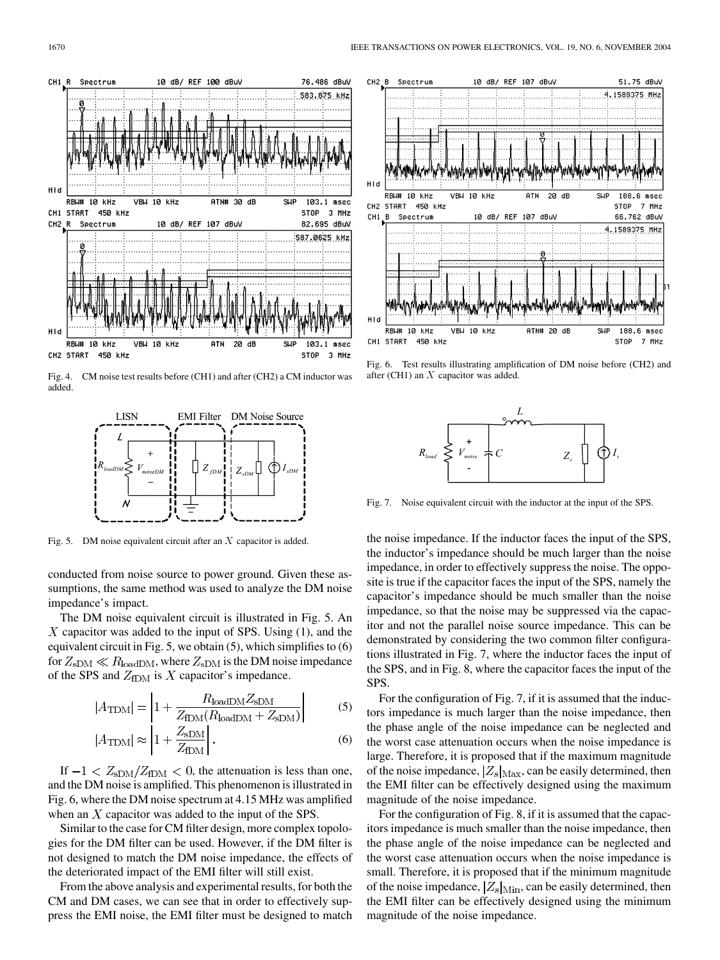

Fig. 4. CM noise test results before (CH1) and after (CH2) a CM inductor was added.



Fig. 5. DM noise equivalent circuit after an  $X$  capacitor is added.

conducted from noise source to power ground. Given these assumptions, the same method was used to analyze the DM noise impedance's impact.

The DM noise equivalent circuit is illustrated in Fig. 5. An  $X$  capacitor was added to the input of SPS. Using  $(1)$ , and the equivalent circuit in Fig. 5, we obtain (5), which simplifies to (6) for  $Z_{\rm sDM} \ll R_{\rm loadDM}$ , where  $Z_{\rm sDM}$  is the DM noise impedance of the SPS and  $Z_{fDM}$  is X capacitor's impedance.

$$
|A_{\text{TDM}}| = \left| 1 + \frac{R_{\text{loadDM}} Z_{\text{sDM}}}{Z_{\text{fDM}} (R_{\text{loadDM}} + Z_{\text{sDM}})} \right| \tag{5}
$$

$$
|A_{\text{TDM}}| \approx \left| 1 + \frac{Z_{\text{SDM}}}{Z_{\text{fDM}}} \right|.
$$
 (6)

If  $-1 < Z_{\rm sDM}/Z_{\rm fDM} < 0$ , the attenuation is less than one, and the DM noise is amplified. This phenomenon is illustrated in Fig. 6, where the DM noise spectrum at 4.15 MHz was amplified when an  $X$  capacitor was added to the input of the SPS.

Similar to the case for CM filter design, more complex topologies for the DM filter can be used. However, if the DM filter is not designed to match the DM noise impedance, the effects of the deteriorated impact of the EMI filter will still exist.

From the above analysis and experimental results, for both the CM and DM cases, we can see that in order to effectively suppress the EMI noise, the EMI filter must be designed to match



Fig. 6. Test results illustrating amplification of DM noise before (CH2) and after (CH1) an X capacitor was added.



Fig. 7. Noise equivalent circuit with the inductor at the input of the SPS.

the noise impedance. If the inductor faces the input of the SPS, the inductor's impedance should be much larger than the noise impedance, in order to effectively suppress the noise. The opposite is true if the capacitor faces the input of the SPS, namely the capacitor's impedance should be much smaller than the noise impedance, so that the noise may be suppressed via the capacitor and not the parallel noise source impedance. This can be demonstrated by considering the two common filter configurations illustrated in Fig. 7, where the inductor faces the input of the SPS, and in Fig. 8, where the capacitor faces the input of the SPS.

For the configuration of Fig. 7, if it is assumed that the inductors impedance is much larger than the noise impedance, then the phase angle of the noise impedance can be neglected and the worst case attenuation occurs when the noise impedance is large. Therefore, it is proposed that if the maximum magnitude of the noise impedance,  $|Z_s|_{\text{Max}}$ , can be easily determined, then the EMI filter can be effectively designed using the maximum magnitude of the noise impedance.

For the configuration of Fig. 8, if it is assumed that the capacitors impedance is much smaller than the noise impedance, then the phase angle of the noise impedance can be neglected and the worst case attenuation occurs when the noise impedance is small. Therefore, it is proposed that if the minimum magnitude of the noise impedance,  $|Z_s|_{\text{Min}}$ , can be easily determined, then the EMI filter can be effectively designed using the minimum magnitude of the noise impedance.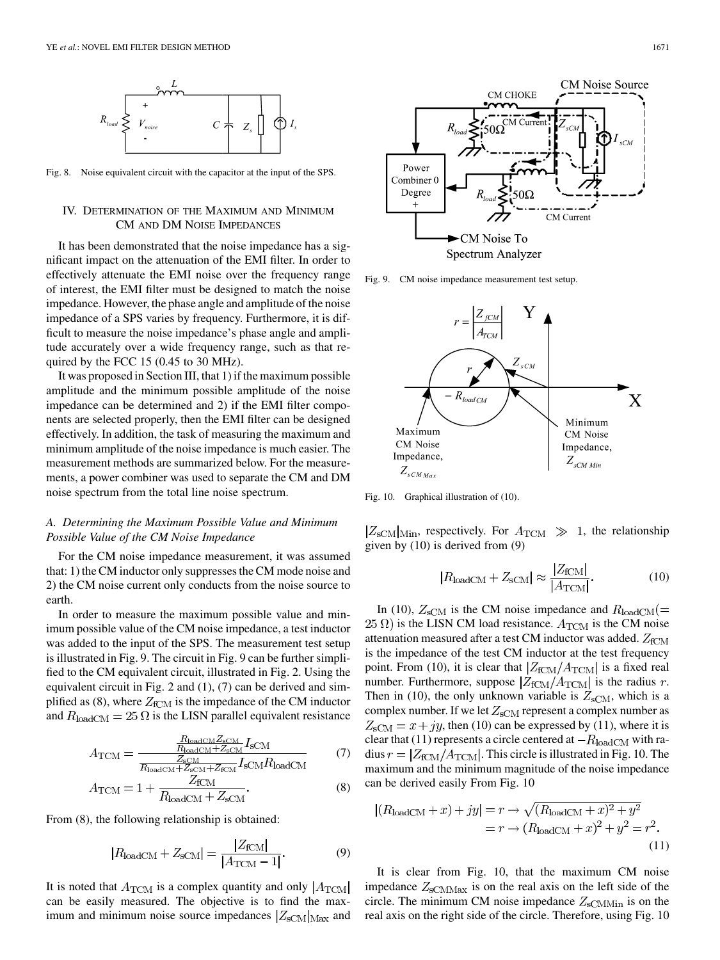

Fig. 8. Noise equivalent circuit with the capacitor at the input of the SPS.

## IV. DETERMINATION OF THE MAXIMUM AND MINIMUM CM AND DM NOISE IMPEDANCES

It has been demonstrated that the noise impedance has a significant impact on the attenuation of the EMI filter. In order to effectively attenuate the EMI noise over the frequency range of interest, the EMI filter must be designed to match the noise impedance. However, the phase angle and amplitude of the noise impedance of a SPS varies by frequency. Furthermore, it is difficult to measure the noise impedance's phase angle and amplitude accurately over a wide frequency range, such as that required by the FCC 15 (0.45 to 30 MHz).

It was proposed in Section III, that 1) if the maximum possible amplitude and the minimum possible amplitude of the noise impedance can be determined and 2) if the EMI filter components are selected properly, then the EMI filter can be designed effectively. In addition, the task of measuring the maximum and minimum amplitude of the noise impedance is much easier. The measurement methods are summarized below. For the measurements, a power combiner was used to separate the CM and DM noise spectrum from the total line noise spectrum.

# *A. Determining the Maximum Possible Value and Minimum Possible Value of the CM Noise Impedance*

For the CM noise impedance measurement, it was assumed that: 1) the CM inductor only suppresses the CM mode noise and 2) the CM noise current only conducts from the noise source to earth.

In order to measure the maximum possible value and minimum possible value of the CM noise impedance, a test inductor was added to the input of the SPS. The measurement test setup is illustrated in Fig. 9. The circuit in Fig. 9 can be further simplified to the CM equivalent circuit, illustrated in Fig. 2. Using the equivalent circuit in Fig. 2 and (1), (7) can be derived and simplified as (8), where  $Z_{fCM}$  is the impedance of the CM inductor and  $R_{\text{loadCM}} = 25 \Omega$  is the LISN parallel equivalent resistance

$$
A_{\text{TCM}} = \frac{\frac{R_{\text{loadCM}} Z_{\text{sCM}}}{R_{\text{loadCM}} + Z_{\text{sCM}} I_{\text{sCM}}}}{\frac{Z_{\text{sCM}}}{R_{\text{loadCM}} + Z_{\text{sCM}} I_{\text{sCM}} R_{\text{loadCM}}}
$$
(7)

$$
A_{\rm TCM} = 1 + \frac{Z_{\rm fCM}}{R_{\rm loadCM} + Z_{\rm sCM}}.\tag{8}
$$

From (8), the following relationship is obtained:

$$
|R_{\text{loadCM}} + Z_{\text{sCM}}| = \frac{|Z_{\text{fCM}}|}{|A_{\text{TCM}} - 1|}.
$$
 (9)

It is noted that  $A_{\text{TCM}}$  is a complex quantity and only  $|A_{\text{TCM}}|$ can be easily measured. The objective is to find the maximum and minimum noise source impedances  $|Z_{\text{sCM}}|_{\text{Max}}$  and



Fig. 9. CM noise impedance measurement test setup.



Fig. 10. Graphical illustration of (10).

 $|Z_{\text{sCM}}|_{\text{Min}}$ , respectively. For  $A_{\text{TCM}} \gg 1$ , the relationship given by (10) is derived from (9)

$$
|R_{\text{loadCM}} + Z_{\text{sCM}}| \approx \frac{|Z_{\text{fCM}}|}{|A_{\text{TCM}}|}.
$$
 (10)

In (10),  $Z_{\text{sCM}}$  is the CM noise impedance and  $R_{\text{loadCM}}(=$  $25 \Omega$ ) is the LISN CM load resistance.  $A_{\text{TCM}}$  is the CM noise attenuation measured after a test CM inductor was added.  $Z_{fCM}$ is the impedance of the test CM inductor at the test frequency point. From (10), it is clear that  $|Z_{\text{fCM}}/A_{\text{TCM}}|$  is a fixed real number. Furthermore, suppose  $|Z_{\text{fCM}}/A_{\text{TCM}}|$  is the radius  $r$ . Then in (10), the only unknown variable is  $Z_{\text{sCM}}$ , which is a complex number. If we let  $Z_{sCM}$  represent a complex number as  $Z_{\text{sCM}} = x + jy$ , then (10) can be expressed by (11), where it is clear that (11) represents a circle centered at  $-R_{\text{loadCM}}$  with radius  $r = |Z_{\text{fCM}}/A_{\text{TCM}}|$ . This circle is illustrated in Fig. 10. The maximum and the minimum magnitude of the noise impedance can be derived easily From Fig. 10

$$
|(R_{\text{loadCM}} + x) + jy| = r \rightarrow \sqrt{(R_{\text{loadCM}} + x)^2 + y^2}
$$

$$
= r \rightarrow (R_{\text{loadCM}} + x)^2 + y^2 = r^2.
$$
(11)

It is clear from Fig. 10, that the maximum CM noise impedance  $Z_{\text{sCMMax}}$  is on the real axis on the left side of the circle. The minimum CM noise impedance  $Z_{\text{sCMMin}}$  is on the real axis on the right side of the circle. Therefore, using Fig. 10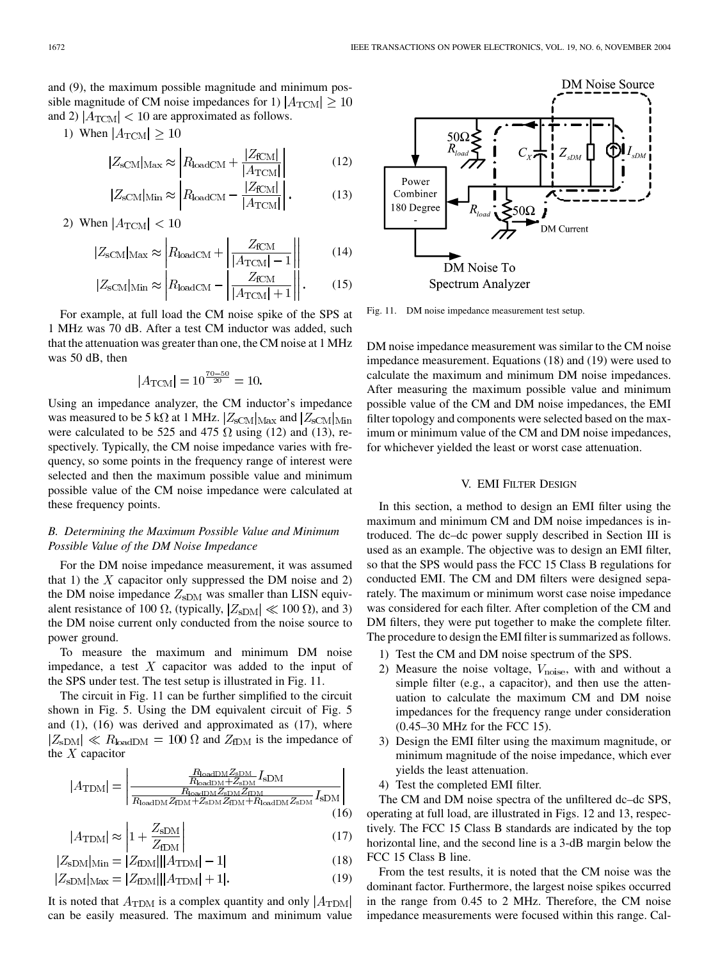and (9), the maximum possible magnitude and minimum possible magnitude of CM noise impedances for 1)  $|A_{\text{TCM}}| \ge 10$ and 2)  $|A_{\text{TCM}}|$  < 10 are approximated as follows.

1) When  $|A_{\text{TCM}}| \geq 10$ 

$$
|Z_{\text{SCM}}|_{\text{Max}} \approx \left| R_{\text{loadCM}} + \frac{|Z_{\text{FCM}}|}{|A_{\text{TCM}}|} \right| \tag{12}
$$

$$
|Z_{\text{sCM}}|_{\text{Min}} \approx \left| R_{\text{loadCM}} - \frac{|Z_{\text{fCM}}|}{|A_{\text{TCM}}|} \right|.
$$
 (13)

2) When 
$$
|A_{\rm TCM}| < 10
$$

$$
|Z_{\text{SCM}}|_{\text{Max}} \approx \left| R_{\text{loadCM}} + \left| \frac{Z_{\text{fCM}}}{|A_{\text{TCM}}| - 1} \right| \right| \tag{14}
$$

$$
|Z_{\text{SCM}}|_{\text{Min}} \approx \left| R_{\text{loadCM}} - \left| \frac{Z_{\text{FCM}}}{|A_{\text{TCM}}| + 1} \right| \right|.
$$
 (15)

For example, at full load the CM noise spike of the SPS at 1 MHz was 70 dB. After a test CM inductor was added, such that the attenuation was greater than one, the CM noise at 1 MHz was 50 dB, then

$$
|A_{\text{TCM}}| = 10^{\frac{70-50}{20}} = 10.
$$

Using an impedance analyzer, the CM inductor's impedance was measured to be 5 k $\Omega$  at 1 MHz.  $|Z_{\text{scm}}|_{\text{Max}}$  and  $|Z_{\text{scm}}|_{\text{Min}}$ were calculated to be 525 and 475  $\Omega$  using (12) and (13), respectively. Typically, the CM noise impedance varies with frequency, so some points in the frequency range of interest were selected and then the maximum possible value and minimum possible value of the CM noise impedance were calculated at these frequency points.

# *B. Determining the Maximum Possible Value and Minimum Possible Value of the DM Noise Impedance*

For the DM noise impedance measurement, it was assumed that 1) the  $X$  capacitor only suppressed the DM noise and 2) the DM noise impedance  $Z_{\text{sDM}}$  was smaller than LISN equivalent resistance of 100  $\Omega$ , (typically,  $|Z_{sDM}| \ll 100 \Omega$ ), and 3) the DM noise current only conducted from the noise source to power ground.

To measure the maximum and minimum DM noise impedance, a test  $X$  capacitor was added to the input of the SPS under test. The test setup is illustrated in Fig. 11.

The circuit in Fig. 11 can be further simplified to the circuit shown in Fig. 5. Using the DM equivalent circuit of Fig. 5 and (1), (16) was derived and approximated as (17), where  $|Z_{\text{sDM}}| \ll R_{\text{loadDM}} = 100 \Omega$  and  $Z_{\text{fDM}}$  is the impedance of the  $X$  capacitor

$$
|A_{\text{TDM}}| = \left| \frac{\frac{R_{\text{loadDM}} Z_{\text{SDM}}}{R_{\text{loadDM}} + Z_{\text{SDM}}} I_{\text{SDM}}}{\frac{R_{\text{loadDM}} Z_{\text{SDM}} Z_{\text{SDM}}}{\frac{R_{\text{loadDM}} Z_{\text{SDM}} Z_{\text{IDM}}}{\frac{R_{\text{Dodd}} Z_{\text{DDM}}}{\frac{R_{\text{loadDM}} Z_{\text{SDM}}}{\frac{R_{\text{loadDM}} Z_{\text{SDM}}}{\frac{R_{\text{loadDM}} Z_{\text{SDM}}}{\frac{R_{\text{Dodd}}}{\frac{R_{\text{Dodd}}}{\frac{R_{\text{D}}}{\frac{R_{\text{D}}}{\frac{R_{\text{D}}}{\frac{R_{\text{D}}}{\frac{R_{\text{D}}}{\frac{R_{\text{D}}}{\frac{R_{\text{D}}}{\frac{R_{\text{D}}}{\frac{R_{\text{D}}}{\frac{R_{\text{D}}}{\frac{R_{\text{D}}}{\frac{R_{\text{D}}}{\frac{R_{\text{D}}}{\frac{R_{\text{D}}}{\frac{R_{\text{D}}}{\frac{R_{\text{D}}}{\frac{R_{\text{D}}}{\frac{R_{\text{D}}}{\frac{R_{\text{D}}}{\frac{R_{\text{D}}}{\frac{R_{\text{D}}}{\frac{R_{\text{D}}}{\frac{R_{\text{D}}}{\frac{R_{\text{D}}}{\frac{R_{\text{D}}}{\frac{R_{\text{D}}}{\frac{R_{\text{D}}}{\frac{R_{\text{D}}}{\frac{R_{\text{D}}}{\frac{R_{\text{D}}}{\frac{R_{\text{D}}}{\frac{R_{\text{D}}}{\frac{R_{\text{D}}}{\frac{R_{\text{D}}}{\frac{R_{\text{D}}}{\frac{R_{\text{D}}}{\frac{R_{\text{D}}}{\frac{R_{\text{D}}}{\frac{R_{\text{D}}}{\frac{R_{\text{D}}}{\frac{R_{\text{D}}}{\frac{R_{\text{D}}}{\frac{R_{\text{D}}}{\frac{R_{\text{D}}}{\frac{R_{\text{D}}}{\frac{R_{\text{D}}}{\frac{R_{\text{D}}}{\frac{R_{\text{D}}}{\frac{R_{\text{D}}
$$

$$
|A_{\text{TDM}}| \approx \left| 1 + \frac{Z_{\text{sDM}}}{Z_{\text{fDM}}} \right| \tag{17}
$$

$$
|Z_{\rm sDM}|_{\rm Min} = |Z_{\rm fDM}| ||A_{\rm TDM}| - 1| \tag{18}
$$

$$
|Z_{\rm sDM}|_{\rm Max} = |Z_{\rm fDM}| ||A_{\rm TDM}| + 1|.
$$
 (19)

It is noted that  $A_{\text{TDM}}$  is a complex quantity and only  $|A_{\text{TDM}}|$ can be easily measured. The maximum and minimum value



Fig. 11. DM noise impedance measurement test setup.

DM noise impedance measurement was similar to the CM noise impedance measurement. Equations (18) and (19) were used to calculate the maximum and minimum DM noise impedances. After measuring the maximum possible value and minimum possible value of the CM and DM noise impedances, the EMI filter topology and components were selected based on the maximum or minimum value of the CM and DM noise impedances, for whichever yielded the least or worst case attenuation.

## V. EMI FILTER DESIGN

In this section, a method to design an EMI filter using the maximum and minimum CM and DM noise impedances is introduced. The dc–dc power supply described in Section III is used as an example. The objective was to design an EMI filter, so that the SPS would pass the FCC 15 Class B regulations for conducted EMI. The CM and DM filters were designed separately. The maximum or minimum worst case noise impedance was considered for each filter. After completion of the CM and DM filters, they were put together to make the complete filter. The procedure to design the EMI filter is summarized as follows.

- 1) Test the CM and DM noise spectrum of the SPS.
- 2) Measure the noise voltage,  $V_{\text{noise}}$ , with and without a simple filter (e.g., a capacitor), and then use the attenuation to calculate the maximum CM and DM noise impedances for the frequency range under consideration (0.45–30 MHz for the FCC 15).
- 3) Design the EMI filter using the maximum magnitude, or minimum magnitude of the noise impedance, which ever yields the least attenuation.
- 4) Test the completed EMI filter.

The CM and DM noise spectra of the unfiltered dc–dc SPS, operating at full load, are illustrated in Figs. 12 and 13, respectively. The FCC 15 Class B standards are indicated by the top horizontal line, and the second line is a 3-dB margin below the FCC 15 Class B line.

From the test results, it is noted that the CM noise was the dominant factor. Furthermore, the largest noise spikes occurred in the range from 0.45 to 2 MHz. Therefore, the CM noise impedance measurements were focused within this range. Cal-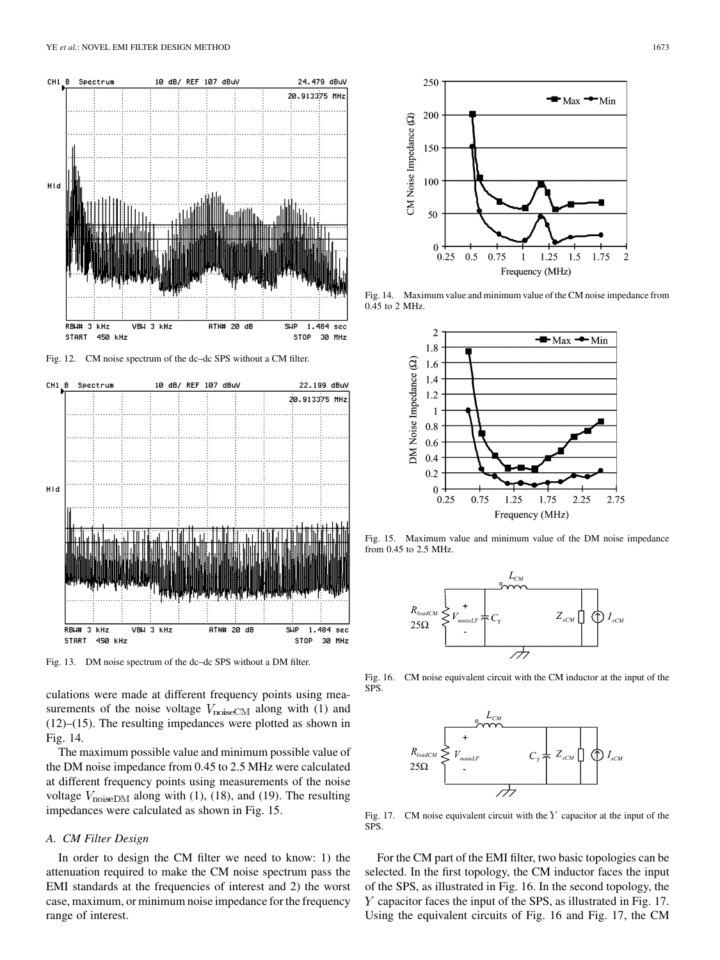

Fig. 12. CM noise spectrum of the dc–dc SPS without a CM filter.



Fig. 13. DM noise spectrum of the dc–dc SPS without a DM filter.

culations were made at different frequency points using measurements of the noise voltage  $V_{\text{noiseCM}}$  along with (1) and (12)–(15). The resulting impedances were plotted as shown in Fig. 14.

The maximum possible value and minimum possible value of the DM noise impedance from 0.45 to 2.5 MHz were calculated at different frequency points using measurements of the noise voltage  $V_{\text{noiseDM}}$  along with (1), (18), and (19). The resulting impedances were calculated as shown in Fig. 15.

## *A. CM Filter Design*

In order to design the CM filter we need to know: 1) the attenuation required to make the CM noise spectrum pass the EMI standards at the frequencies of interest and 2) the worst case, maximum, or minimum noise impedance for the frequency range of interest.



Fig. 14. Maximum value and minimum value of the CM noise impedance from 0.45 to 2 MHz.



Fig. 15. Maximum value and minimum value of the DM noise impedance from 0.45 to 2.5 MHz.



Fig. 16. CM noise equivalent circuit with the CM inductor at the input of the SPS.



Fig. 17. CM noise equivalent circuit with the  $Y$  capacitor at the input of the SPS.

For the CM part of the EMI filter, two basic topologies can be selected. In the first topology, the CM inductor faces the input of the SPS, as illustrated in Fig. 16. In the second topology, the  $Y$  capacitor faces the input of the SPS, as illustrated in Fig. 17. Using the equivalent circuits of Fig. 16 and Fig. 17, the CM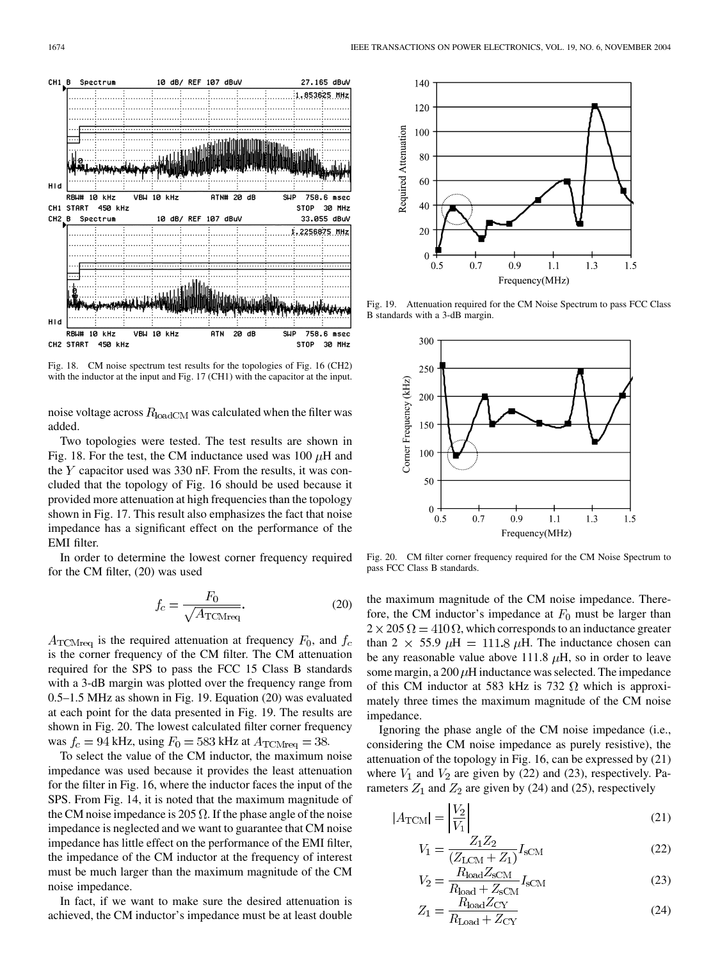

Fig. 18. CM noise spectrum test results for the topologies of Fig. 16 (CH2) with the inductor at the input and Fig. 17 (CH1) with the capacitor at the input.

noise voltage across  $R_{\text{loadCM}}$  was calculated when the filter was added.

Two topologies were tested. The test results are shown in Fig. 18. For the test, the CM inductance used was 100  $\mu$ H and the  $Y$  capacitor used was 330 nF. From the results, it was concluded that the topology of Fig. 16 should be used because it provided more attenuation at high frequencies than the topology shown in Fig. 17. This result also emphasizes the fact that noise impedance has a significant effect on the performance of the EMI filter.

In order to determine the lowest corner frequency required for the CM filter, (20) was used

$$
f_c = \frac{F_0}{\sqrt{A_{\text{TCMreq}}}}.\tag{20}
$$

 $A_{\text{TCMreq}}$  is the required attenuation at frequency  $F_0$ , and  $f_c$ is the corner frequency of the CM filter. The CM attenuation required for the SPS to pass the FCC 15 Class B standards with a 3-dB margin was plotted over the frequency range from 0.5–1.5 MHz as shown in Fig. 19. Equation (20) was evaluated at each point for the data presented in Fig. 19. The results are shown in Fig. 20. The lowest calculated filter corner frequency was  $f_c = 94$  kHz, using  $F_0 = 583$  kHz at  $A_{\text{TCMrea}} = 38$ .

To select the value of the CM inductor, the maximum noise impedance was used because it provides the least attenuation for the filter in Fig. 16, where the inductor faces the input of the SPS. From Fig. 14, it is noted that the maximum magnitude of the CM noise impedance is 205  $\Omega$ . If the phase angle of the noise impedance is neglected and we want to guarantee that CM noise impedance has little effect on the performance of the EMI filter, the impedance of the CM inductor at the frequency of interest must be much larger than the maximum magnitude of the CM noise impedance.

In fact, if we want to make sure the desired attenuation is achieved, the CM inductor's impedance must be at least double



Fig. 19. Attenuation required for the CM Noise Spectrum to pass FCC Class B standards with a 3-dB margin.



Fig. 20. CM filter corner frequency required for the CM Noise Spectrum to pass FCC Class B standards.

the maximum magnitude of the CM noise impedance. Therefore, the CM inductor's impedance at  $F_0$  must be larger than  $2 \times 205 \Omega = 410 \Omega$ , which corresponds to an inductance greater than 2  $\times$  55.9  $\mu$ H = 111.8  $\mu$ H. The inductance chosen can be any reasonable value above 111.8  $\mu$ H, so in order to leave some margin, a  $200 \mu$ H inductance was selected. The impedance of this CM inductor at 583 kHz is 732  $\Omega$  which is approximately three times the maximum magnitude of the CM noise impedance.

Ignoring the phase angle of the CM noise impedance (i.e., considering the CM noise impedance as purely resistive), the attenuation of the topology in Fig. 16, can be expressed by (21) where  $V_1$  and  $V_2$  are given by (22) and (23), respectively. Parameters  $Z_1$  and  $Z_2$  are given by (24) and (25), respectively

 $\cdot$ 

$$
|A_{\text{TCM}}| = \left| \frac{V_2}{V_1} \right| \tag{21}
$$

$$
V_1 = \frac{Z_1 Z_2}{(Z_{\text{LCM}} + Z_1)} I_{\text{sCM}}
$$
 (22)

$$
V_2 = \frac{R_{\text{load}} Z_{\text{sCM}}}{R_{\text{load}} + Z_{\text{sCM}}} I_{\text{sCM}}
$$
(23)

$$
Z_1 = \frac{R_{\text{load}} \omega_{\text{C}}}{R_{\text{load}} + Z_{\text{CY}}}
$$
(24)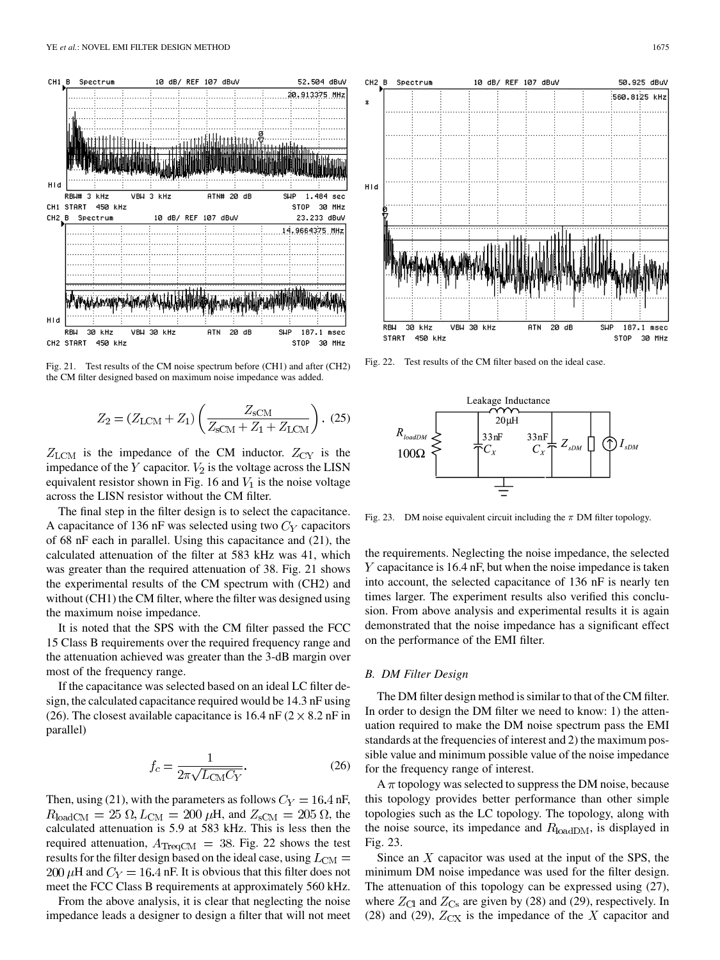

Fig. 21. Test results of the CM noise spectrum before (CH1) and after (CH2) the CM filter designed based on maximum noise impedance was added.

$$
Z_2 = (Z_{\text{LCM}} + Z_1) \left( \frac{Z_{\text{SCM}}}{Z_{\text{SCM}} + Z_1 + Z_{\text{LCM}}} \right). (25)
$$

 $Z_{\text{LCM}}$  is the impedance of the CM inductor.  $Z_{\text{CY}}$  is the impedance of the  $Y$  capacitor.  $V_2$  is the voltage across the LISN equivalent resistor shown in Fig. 16 and  $V_1$  is the noise voltage across the LISN resistor without the CM filter.

The final step in the filter design is to select the capacitance. A capacitance of 136 nF was selected using two  $C_Y$  capacitors of 68 nF each in parallel. Using this capacitance and (21), the calculated attenuation of the filter at 583 kHz was 41, which was greater than the required attenuation of 38. Fig. 21 shows the experimental results of the CM spectrum with (CH2) and without (CH1) the CM filter, where the filter was designed using the maximum noise impedance.

It is noted that the SPS with the CM filter passed the FCC 15 Class B requirements over the required frequency range and the attenuation achieved was greater than the 3-dB margin over most of the frequency range.

If the capacitance was selected based on an ideal LC filter design, the calculated capacitance required would be 14.3 nF using (26). The closest available capacitance is 16.4 nF ( $2 \times 8.2$  nF in parallel)

$$
f_c = \frac{1}{2\pi\sqrt{L_{\rm CM}C_Y}}.\tag{26}
$$

Then, using (21), with the parameters as follows  $C_V = 16.4$  nF,  $R_{\text{loadCM}} = 25 \Omega, L_{\text{CM}} = 200 \mu\text{H}$ , and  $Z_{\text{sCM}} = 205 \Omega$ , the calculated attenuation is 5.9 at 583 kHz. This is less then the required attenuation,  $A_{\text{TreeCM}} = 38$ . Fig. 22 shows the test results for the filter design based on the ideal case, using  $L_{\text{CM}} =$ 200  $\mu$ H and  $C_Y = 16.4$  nF. It is obvious that this filter does not meet the FCC Class B requirements at approximately 560 kHz.

From the above analysis, it is clear that neglecting the noise impedance leads a designer to design a filter that will not meet



Fig. 22. Test results of the CM filter based on the ideal case.



Fig. 23. DM noise equivalent circuit including the  $\pi$  DM filter topology.

the requirements. Neglecting the noise impedance, the selected  $Y$  capacitance is 16.4 nF, but when the noise impedance is taken into account, the selected capacitance of 136 nF is nearly ten times larger. The experiment results also verified this conclusion. From above analysis and experimental results it is again demonstrated that the noise impedance has a significant effect on the performance of the EMI filter.

#### *B. DM Filter Design*

The DM filter design method is similar to that of the CM filter. In order to design the DM filter we need to know: 1) the attenuation required to make the DM noise spectrum pass the EMI standards at the frequencies of interest and 2) the maximum possible value and minimum possible value of the noise impedance for the frequency range of interest.

 $A \pi$  topology was selected to suppress the DM noise, because this topology provides better performance than other simple topologies such as the LC topology. The topology, along with the noise source, its impedance and  $R_{loadDM}$ , is displayed in Fig. 23.

Since an  $X$  capacitor was used at the input of the SPS, the minimum DM noise impedance was used for the filter design. The attenuation of this topology can be expressed using (27), where  $Z_{\text{Cl}}$  and  $Z_{\text{Cs}}$  are given by (28) and (29), respectively. In (28) and (29),  $Z_{\text{CX}}$  is the impedance of the X capacitor and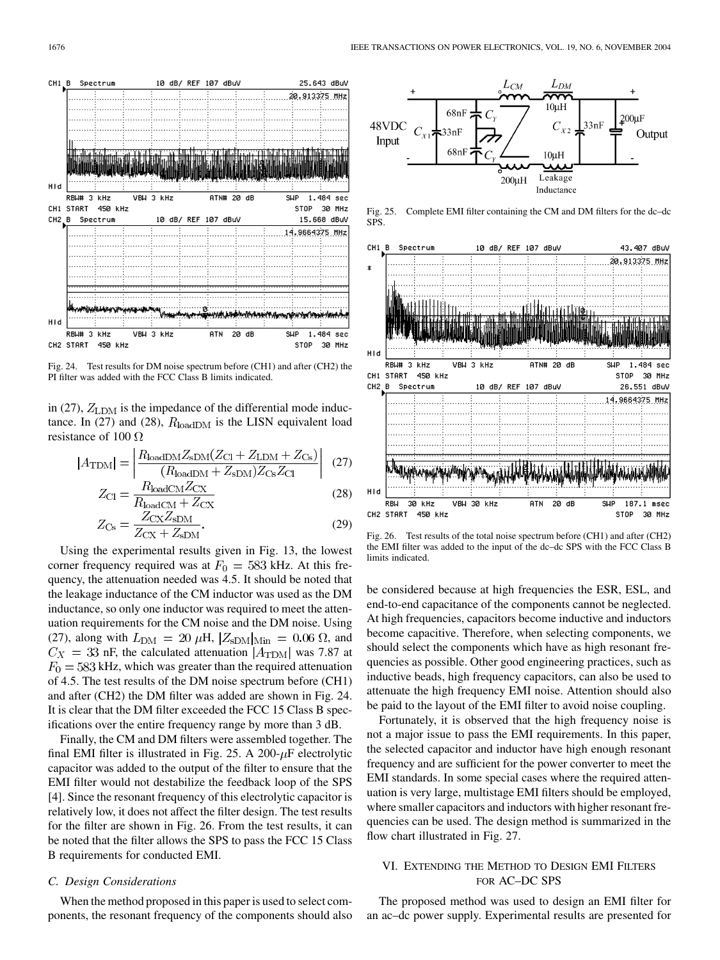

Fig. 24. Test results for DM noise spectrum before (CH1) and after (CH2) the PI filter was added with the FCC Class B limits indicated.

in (27),  $Z_{\text{LDM}}$  is the impedance of the differential mode inductance. In (27) and (28),  $R_{loadDM}$  is the LISN equivalent load resistance of 100  $\Omega$ 

$$
|A_{\text{TDM}}| = \left| \frac{R_{\text{loadDM}} Z_{\text{sDM}} (Z_{\text{Cl}} + Z_{\text{LDM}} + Z_{\text{Cs}})}{(R_{\text{badDM}} + Z_{\text{sDM}}) Z_{\text{Cs}} Z_{\text{Cl}}} \right| \tag{27}
$$

$$
Z_{\rm CI} = \frac{R_{\rm loadCM} Z_{\rm CX}}{R_{\rm loadCM} + Z_{\rm CX}}
$$
(28)

$$
Z_{\text{Cs}} = \frac{Z_{\text{CX}} Z_{\text{SDM}}}{Z_{\text{CX}} + Z_{\text{SDM}}}. \tag{29}
$$

Using the experimental results given in Fig. 13, the lowest corner frequency required was at  $F_0 = 583$  kHz. At this frequency, the attenuation needed was 4.5. It should be noted that the leakage inductance of the CM inductor was used as the DM inductance, so only one inductor was required to meet the attenuation requirements for the CM noise and the DM noise. Using (27), along with  $L_{\rm DM} = 20 \mu H, |Z_{\rm sDM}|_{\rm Min} = 0.06 \Omega$ , and  $C_X = 33$  nF, the calculated attenuation  $|A_{\text{TDM}}|$  was 7.87 at  $F_0 = 583$  kHz, which was greater than the required attenuation of 4.5. The test results of the DM noise spectrum before (CH1) and after (CH2) the DM filter was added are shown in Fig. 24. It is clear that the DM filter exceeded the FCC 15 Class B specifications over the entire frequency range by more than 3 dB.

Finally, the CM and DM filters were assembled together. The final EMI filter is illustrated in Fig. 25. A 200- $\mu$ F electrolytic capacitor was added to the output of the filter to ensure that the EMI filter would not destabilize the feedback loop of the SPS [[4\]](#page-10-0). Since the resonant frequency of this electrolytic capacitor is relatively low, it does not affect the filter design. The test results for the filter are shown in Fig. 26. From the test results, it can be noted that the filter allows the SPS to pass the FCC 15 Class B requirements for conducted EMI.

#### *C. Design Considerations*

When the method proposed in this paper is used to select components, the resonant frequency of the components should also



Fig. 25. Complete EMI filter containing the CM and DM filters for the dc–dc SPS.



Fig. 26. Test results of the total noise spectrum before (CH1) and after (CH2) the EMI filter was added to the input of the dc–dc SPS with the FCC Class B limits indicated.

be considered because at high frequencies the ESR, ESL, and end-to-end capacitance of the components cannot be neglected. At high frequencies, capacitors become inductive and inductors become capacitive. Therefore, when selecting components, we should select the components which have as high resonant frequencies as possible. Other good engineering practices, such as inductive beads, high frequency capacitors, can also be used to attenuate the high frequency EMI noise. Attention should also be paid to the layout of the EMI filter to avoid noise coupling.

Fortunately, it is observed that the high frequency noise is not a major issue to pass the EMI requirements. In this paper, the selected capacitor and inductor have high enough resonant frequency and are sufficient for the power converter to meet the EMI standards. In some special cases where the required attenuation is very large, multistage EMI filters should be employed, where smaller capacitors and inductors with higher resonant frequencies can be used. The design method is summarized in the flow chart illustrated in Fig. 27.

# VI. EXTENDING THE METHOD TO DESIGN EMI FILTERS FOR AC–DC SPS

The proposed method was used to design an EMI filter for an ac–dc power supply. Experimental results are presented for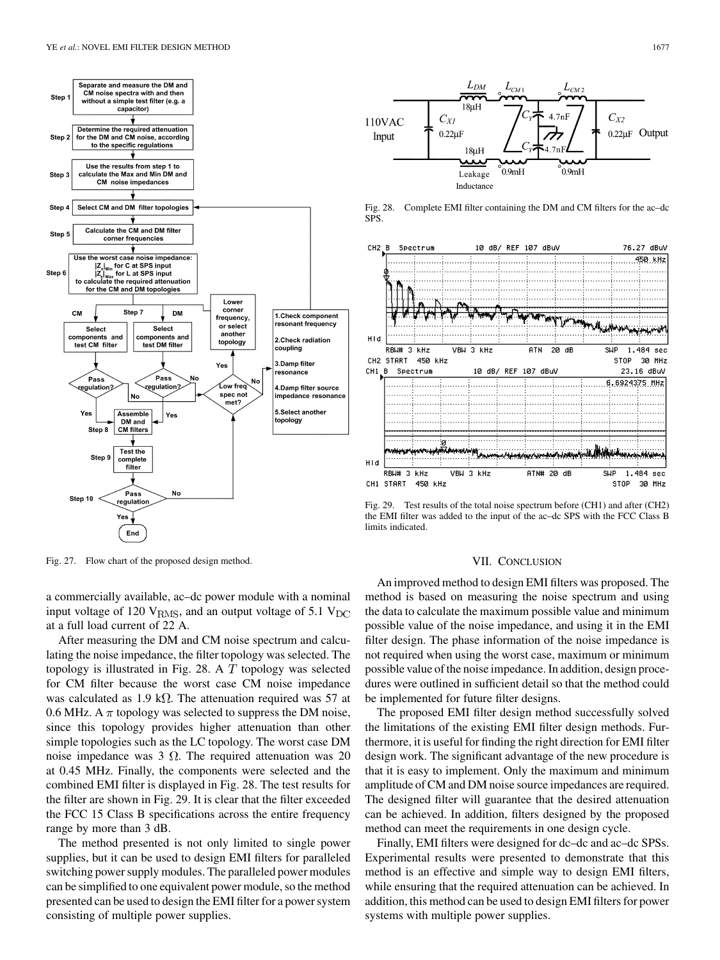

Fig. 27. Flow chart of the proposed design method.

a commercially available, ac–dc power module with a nominal input voltage of 120  $V_{RMS}$ , and an output voltage of 5.1  $V_{DC}$ at a full load current of 22 A.

After measuring the DM and CM noise spectrum and calculating the noise impedance, the filter topology was selected. The topology is illustrated in Fig. 28. A  $T$  topology was selected for CM filter because the worst case CM noise impedance was calculated as 1.9 k $\Omega$ . The attenuation required was 57 at 0.6 MHz. A  $\pi$  topology was selected to suppress the DM noise, since this topology provides higher attenuation than other simple topologies such as the LC topology. The worst case DM noise impedance was 3  $\Omega$ . The required attenuation was 20 at 0.45 MHz. Finally, the components were selected and the combined EMI filter is displayed in Fig. 28. The test results for the filter are shown in Fig. 29. It is clear that the filter exceeded the FCC 15 Class B specifications across the entire frequency range by more than 3 dB.

The method presented is not only limited to single power supplies, but it can be used to design EMI filters for paralleled switching power supply modules. The paralleled power modules can be simplified to one equivalent power module, so the method presented can be used to design the EMI filter for a power system consisting of multiple power supplies.



Fig. 28. Complete EMI filter containing the DM and CM filters for the ac–dc SPS.



Fig. 29. Test results of the total noise spectrum before (CH1) and after (CH2) the EMI filter was added to the input of the ac–dc SPS with the FCC Class B limits indicated.

# VII. CONCLUSION

An improved method to design EMI filters was proposed. The method is based on measuring the noise spectrum and using the data to calculate the maximum possible value and minimum possible value of the noise impedance, and using it in the EMI filter design. The phase information of the noise impedance is not required when using the worst case, maximum or minimum possible value of the noise impedance. In addition, design procedures were outlined in sufficient detail so that the method could be implemented for future filter designs.

The proposed EMI filter design method successfully solved the limitations of the existing EMI filter design methods. Furthermore, it is useful for finding the right direction for EMI filter design work. The significant advantage of the new procedure is that it is easy to implement. Only the maximum and minimum amplitude of CM and DM noise source impedances are required. The designed filter will guarantee that the desired attenuation can be achieved. In addition, filters designed by the proposed method can meet the requirements in one design cycle.

Finally, EMI filters were designed for dc–dc and ac–dc SPSs. Experimental results were presented to demonstrate that this method is an effective and simple way to design EMI filters, while ensuring that the required attenuation can be achieved. In addition, this method can be used to design EMI filters for power systems with multiple power supplies.